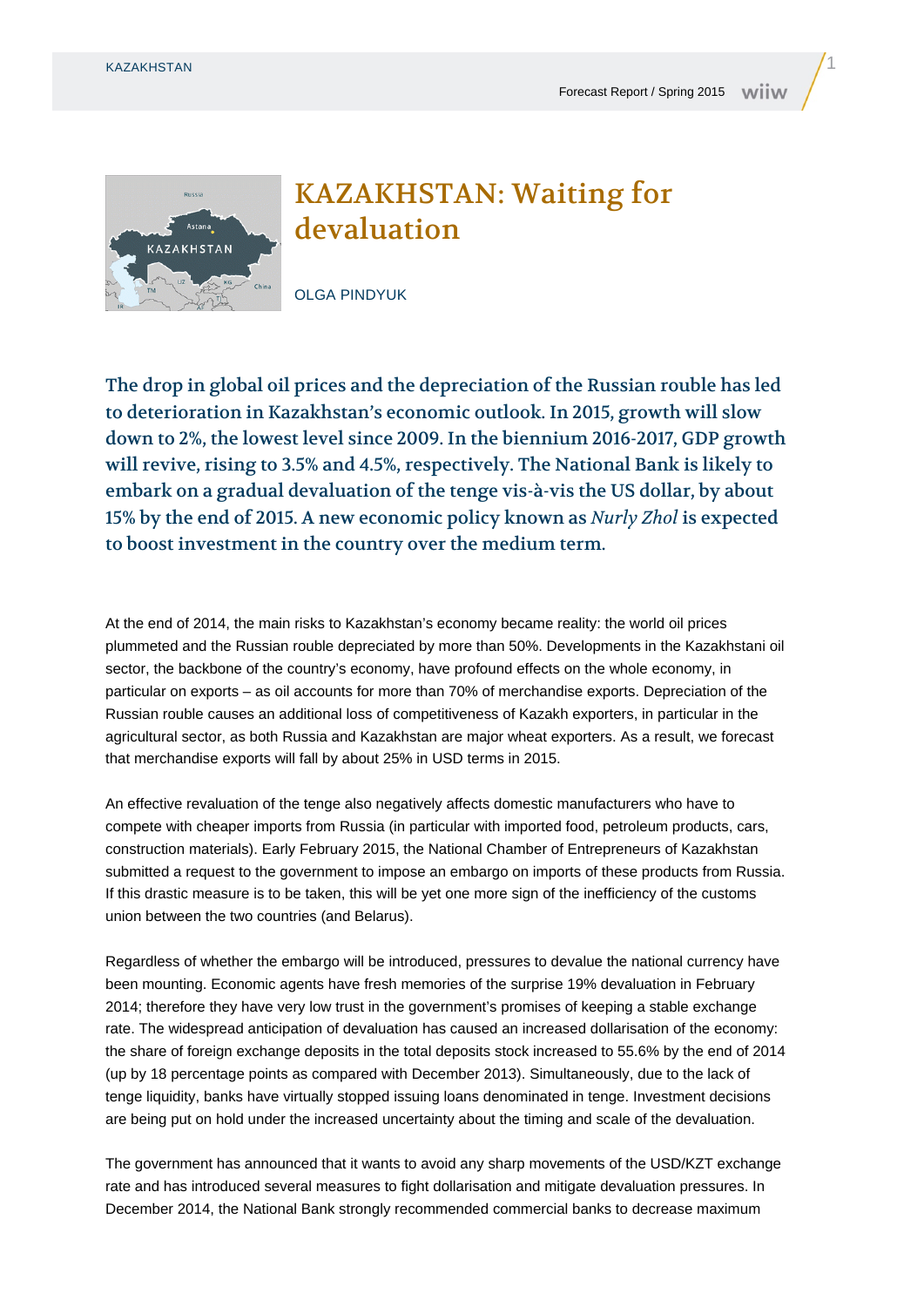

## KAZAKHSTAN: Waiting for devaluation

OLGA PINDYUK

The drop in global oil prices and the depreciation of the Russian rouble has led to deterioration in Kazakhstan's economic outlook. In 2015, growth will slow down to 2%, the lowest level since 2009. In the biennium 2016-2017, GDP growth will revive, rising to 3.5% and 4.5%, respectively. The National Bank is likely to embark on a gradual devaluation of the tenge vis-à-vis the US dollar, by about 15% by the end of 2015. A new economic policy known as *Nurly Zhol* is expected to boost investment in the country over the medium term.

At the end of 2014, the main risks to Kazakhstan's economy became reality: the world oil prices plummeted and the Russian rouble depreciated by more than 50%. Developments in the Kazakhstani oil sector, the backbone of the country's economy, have profound effects on the whole economy, in particular on exports – as oil accounts for more than 70% of merchandise exports. Depreciation of the Russian rouble causes an additional loss of competitiveness of Kazakh exporters, in particular in the agricultural sector, as both Russia and Kazakhstan are major wheat exporters. As a result, we forecast that merchandise exports will fall by about 25% in USD terms in 2015.

An effective revaluation of the tenge also negatively affects domestic manufacturers who have to compete with cheaper imports from Russia (in particular with imported food, petroleum products, cars, construction materials). Early February 2015, the National Chamber of Entrepreneurs of Kazakhstan submitted a request to the government to impose an embargo on imports of these products from Russia. If this drastic measure is to be taken, this will be yet one more sign of the inefficiency of the customs union between the two countries (and Belarus).

Regardless of whether the embargo will be introduced, pressures to devalue the national currency have been mounting. Economic agents have fresh memories of the surprise 19% devaluation in February 2014; therefore they have very low trust in the government's promises of keeping a stable exchange rate. The widespread anticipation of devaluation has caused an increased dollarisation of the economy: the share of foreign exchange deposits in the total deposits stock increased to 55.6% by the end of 2014 (up by 18 percentage points as compared with December 2013). Simultaneously, due to the lack of tenge liquidity, banks have virtually stopped issuing loans denominated in tenge. Investment decisions are being put on hold under the increased uncertainty about the timing and scale of the devaluation.

The government has announced that it wants to avoid any sharp movements of the USD/KZT exchange rate and has introduced several measures to fight dollarisation and mitigate devaluation pressures. In December 2014, the National Bank strongly recommended commercial banks to decrease maximum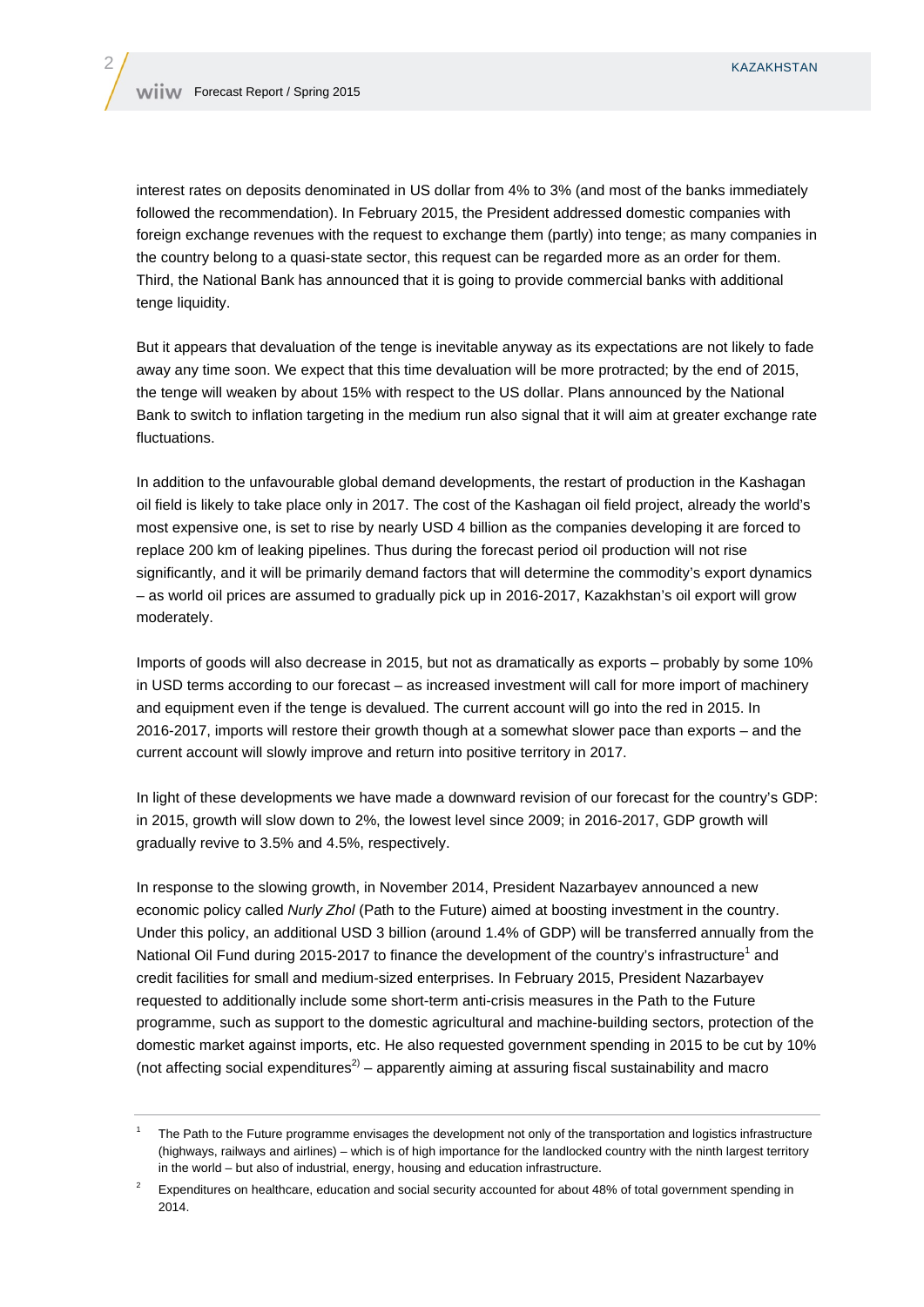interest rates on deposits denominated in US dollar from 4% to 3% (and most of the banks immediately followed the recommendation). In February 2015, the President addressed domestic companies with foreign exchange revenues with the request to exchange them (partly) into tenge; as many companies in the country belong to a quasi-state sector, this request can be regarded more as an order for them. Third, the National Bank has announced that it is going to provide commercial banks with additional tenge liquidity.

But it appears that devaluation of the tenge is inevitable anyway as its expectations are not likely to fade away any time soon. We expect that this time devaluation will be more protracted; by the end of 2015, the tenge will weaken by about 15% with respect to the US dollar. Plans announced by the National Bank to switch to inflation targeting in the medium run also signal that it will aim at greater exchange rate fluctuations.

In addition to the unfavourable global demand developments, the restart of production in the Kashagan oil field is likely to take place only in 2017. The cost of the Kashagan oil field project, already the world's most expensive one, is set to rise by nearly USD 4 billion as the companies developing it are forced to replace 200 km of leaking pipelines. Thus during the forecast period oil production will not rise significantly, and it will be primarily demand factors that will determine the commodity's export dynamics – as world oil prices are assumed to gradually pick up in 2016-2017, Kazakhstan's oil export will grow moderately.

Imports of goods will also decrease in 2015, but not as dramatically as exports – probably by some 10% in USD terms according to our forecast – as increased investment will call for more import of machinery and equipment even if the tenge is devalued. The current account will go into the red in 2015. In 2016-2017, imports will restore their growth though at a somewhat slower pace than exports – and the current account will slowly improve and return into positive territory in 2017.

In light of these developments we have made a downward revision of our forecast for the country's GDP: in 2015, growth will slow down to 2%, the lowest level since 2009; in 2016-2017, GDP growth will gradually revive to 3.5% and 4.5%, respectively.

In response to the slowing growth, in November 2014, President Nazarbayev announced a new economic policy called *Nurly Zhol* (Path to the Future) aimed at boosting investment in the country. Under this policy, an additional USD 3 billion (around 1.4% of GDP) will be transferred annually from the National Oil Fund during 2015-2017 to finance the development of the country's infrastructure<sup>1</sup> and credit facilities for small and medium-sized enterprises. In February 2015, President Nazarbayev requested to additionally include some short-term anti-crisis measures in the Path to the Future programme, such as support to the domestic agricultural and machine-building sectors, protection of the domestic market against imports, etc. He also requested government spending in 2015 to be cut by 10% (not affecting social expenditures<sup>2)</sup> – apparently aiming at assuring fiscal sustainability and macro

<sup>1</sup> The Path to the Future programme envisages the development not only of the transportation and logistics infrastructure (highways, railways and airlines) – which is of high importance for the landlocked country with the ninth largest territory in the world – but also of industrial, energy, housing and education infrastructure.

<sup>2</sup> Expenditures on healthcare, education and social security accounted for about 48% of total government spending in 2014.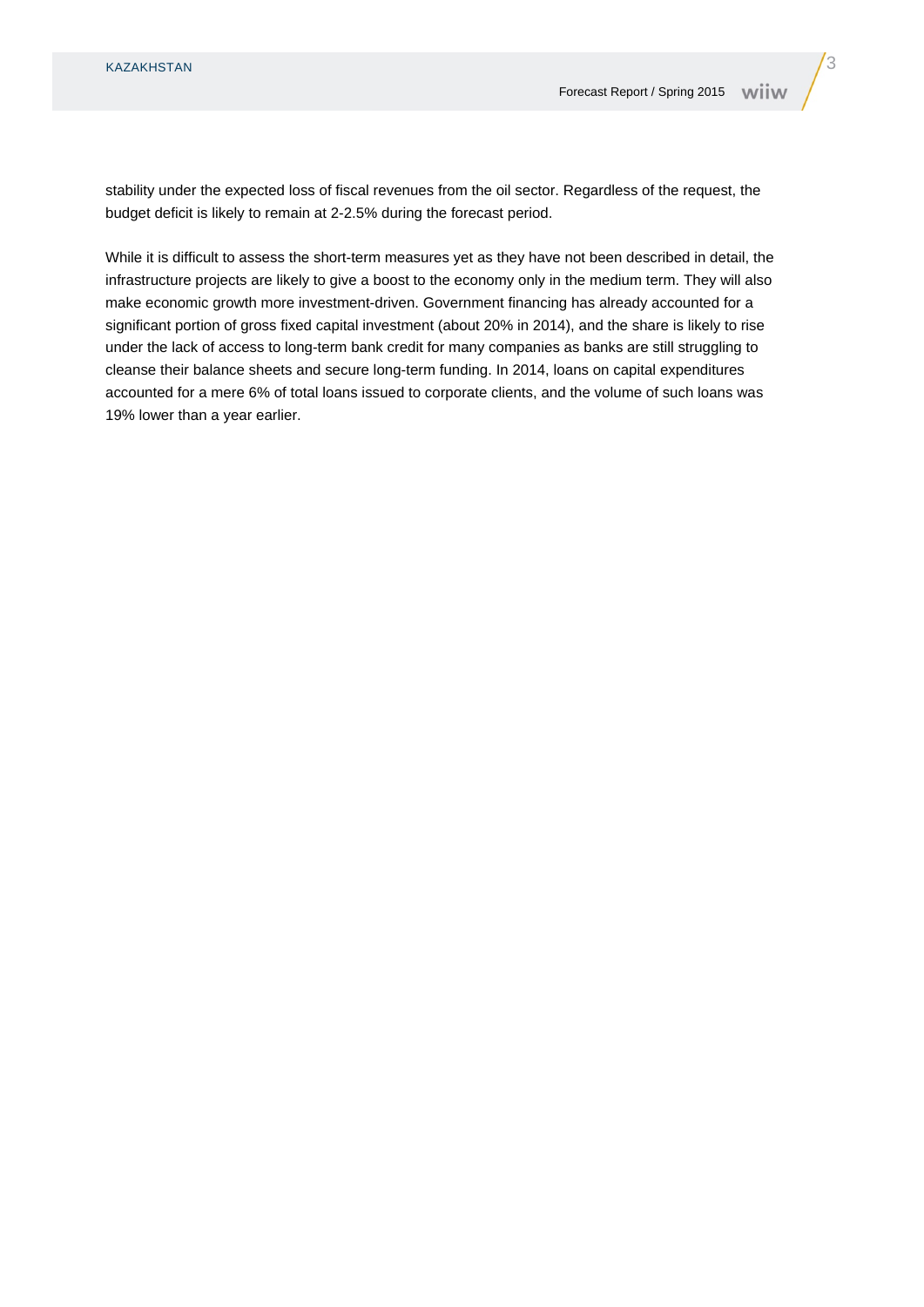stability under the expected loss of fiscal revenues from the oil sector. Regardless of the request, the budget deficit is likely to remain at 2-2.5% during the forecast period.

While it is difficult to assess the short-term measures yet as they have not been described in detail, the infrastructure projects are likely to give a boost to the economy only in the medium term. They will also make economic growth more investment-driven. Government financing has already accounted for a significant portion of gross fixed capital investment (about 20% in 2014), and the share is likely to rise under the lack of access to long-term bank credit for many companies as banks are still struggling to cleanse their balance sheets and secure long-term funding. In 2014, loans on capital expenditures accounted for a mere 6% of total loans issued to corporate clients, and the volume of such loans was 19% lower than a year earlier.